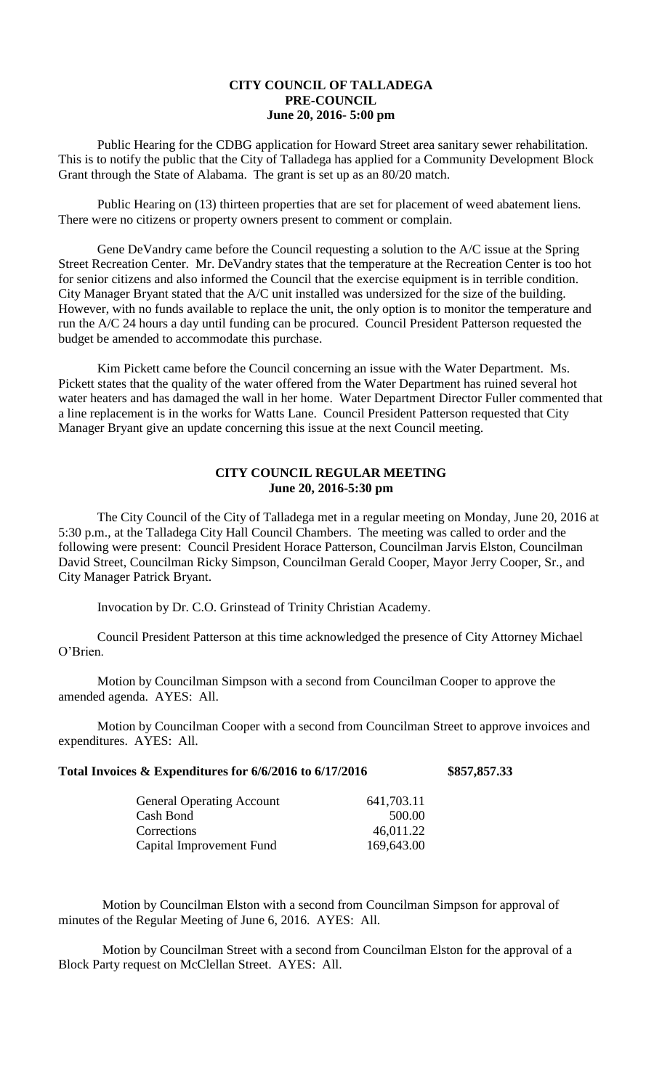## **CITY COUNCIL OF TALLADEGA PRE-COUNCIL June 20, 2016- 5:00 pm**

Public Hearing for the CDBG application for Howard Street area sanitary sewer rehabilitation. This is to notify the public that the City of Talladega has applied for a Community Development Block Grant through the State of Alabama. The grant is set up as an 80/20 match.

Public Hearing on (13) thirteen properties that are set for placement of weed abatement liens. There were no citizens or property owners present to comment or complain.

Gene DeVandry came before the Council requesting a solution to the A/C issue at the Spring Street Recreation Center. Mr. DeVandry states that the temperature at the Recreation Center is too hot for senior citizens and also informed the Council that the exercise equipment is in terrible condition. City Manager Bryant stated that the A/C unit installed was undersized for the size of the building. However, with no funds available to replace the unit, the only option is to monitor the temperature and run the A/C 24 hours a day until funding can be procured. Council President Patterson requested the budget be amended to accommodate this purchase.

Kim Pickett came before the Council concerning an issue with the Water Department. Ms. Pickett states that the quality of the water offered from the Water Department has ruined several hot water heaters and has damaged the wall in her home. Water Department Director Fuller commented that a line replacement is in the works for Watts Lane. Council President Patterson requested that City Manager Bryant give an update concerning this issue at the next Council meeting.

## **CITY COUNCIL REGULAR MEETING June 20, 2016-5:30 pm**

The City Council of the City of Talladega met in a regular meeting on Monday, June 20, 2016 at 5:30 p.m., at the Talladega City Hall Council Chambers. The meeting was called to order and the following were present: Council President Horace Patterson, Councilman Jarvis Elston, Councilman David Street, Councilman Ricky Simpson, Councilman Gerald Cooper, Mayor Jerry Cooper, Sr., and City Manager Patrick Bryant.

Invocation by Dr. C.O. Grinstead of Trinity Christian Academy.

Council President Patterson at this time acknowledged the presence of City Attorney Michael O'Brien.

Motion by Councilman Simpson with a second from Councilman Cooper to approve the amended agenda. AYES: All.

Motion by Councilman Cooper with a second from Councilman Street to approve invoices and expenditures. AYES: All.

| Total Invoices & Expenditures for 6/6/2016 to 6/17/2016 |  | \$857,857.33 |
|---------------------------------------------------------|--|--------------|
|                                                         |  |              |

| <b>General Operating Account</b> | 641,703.11 |
|----------------------------------|------------|
| Cash Bond                        | 500.00     |
| Corrections                      | 46,011.22  |
| Capital Improvement Fund         | 169,643.00 |
|                                  |            |

Motion by Councilman Elston with a second from Councilman Simpson for approval of minutes of the Regular Meeting of June 6, 2016. AYES: All.

Motion by Councilman Street with a second from Councilman Elston for the approval of a Block Party request on McClellan Street. AYES: All.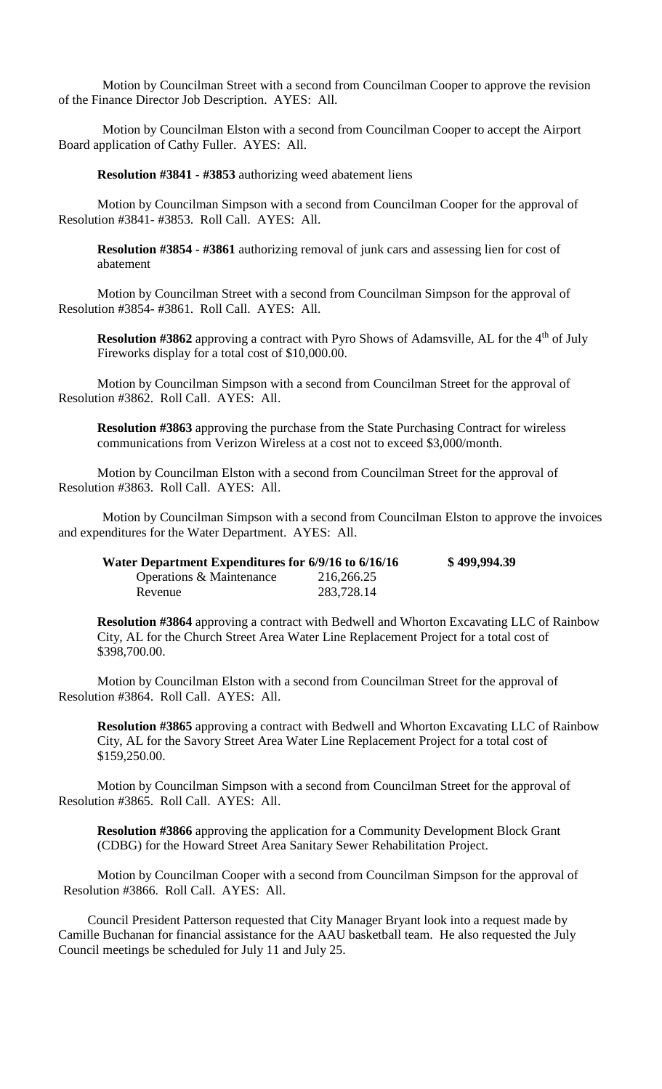Motion by Councilman Street with a second from Councilman Cooper to approve the revision of the Finance Director Job Description. AYES: All.

Motion by Councilman Elston with a second from Councilman Cooper to accept the Airport Board application of Cathy Fuller. AYES: All.

**Resolution #3841 - #3853** authorizing weed abatement liens

Motion by Councilman Simpson with a second from Councilman Cooper for the approval of Resolution #3841- #3853. Roll Call. AYES: All.

**Resolution #3854 - #3861** authorizing removal of junk cars and assessing lien for cost of abatement

Motion by Councilman Street with a second from Councilman Simpson for the approval of Resolution #3854- #3861. Roll Call. AYES: All.

**Resolution #3862** approving a contract with Pyro Shows of Adamsville, AL for the 4<sup>th</sup> of July Fireworks display for a total cost of \$10,000.00.

Motion by Councilman Simpson with a second from Councilman Street for the approval of Resolution #3862. Roll Call. AYES: All.

**Resolution #3863** approving the purchase from the State Purchasing Contract for wireless communications from Verizon Wireless at a cost not to exceed \$3,000/month.

Motion by Councilman Elston with a second from Councilman Street for the approval of Resolution #3863. Roll Call. AYES: All.

Motion by Councilman Simpson with a second from Councilman Elston to approve the invoices and expenditures for the Water Department. AYES: All.

| Water Department Expenditures for 6/9/16 to 6/16/16 | \$499,994.39 |  |
|-----------------------------------------------------|--------------|--|
| Operations & Maintenance                            | 216,266.25   |  |
| Revenue                                             | 283,728.14   |  |

**Resolution #3864** approving a contract with Bedwell and Whorton Excavating LLC of Rainbow City, AL for the Church Street Area Water Line Replacement Project for a total cost of \$398,700.00.

Motion by Councilman Elston with a second from Councilman Street for the approval of Resolution #3864. Roll Call. AYES: All.

**Resolution #3865** approving a contract with Bedwell and Whorton Excavating LLC of Rainbow City, AL for the Savory Street Area Water Line Replacement Project for a total cost of \$159,250.00.

Motion by Councilman Simpson with a second from Councilman Street for the approval of Resolution #3865. Roll Call. AYES: All.

**Resolution #3866** approving the application for a Community Development Block Grant (CDBG) for the Howard Street Area Sanitary Sewer Rehabilitation Project.

Motion by Councilman Cooper with a second from Councilman Simpson for the approval of Resolution #3866. Roll Call. AYES: All.

Council President Patterson requested that City Manager Bryant look into a request made by Camille Buchanan for financial assistance for the AAU basketball team. He also requested the July Council meetings be scheduled for July 11 and July 25.